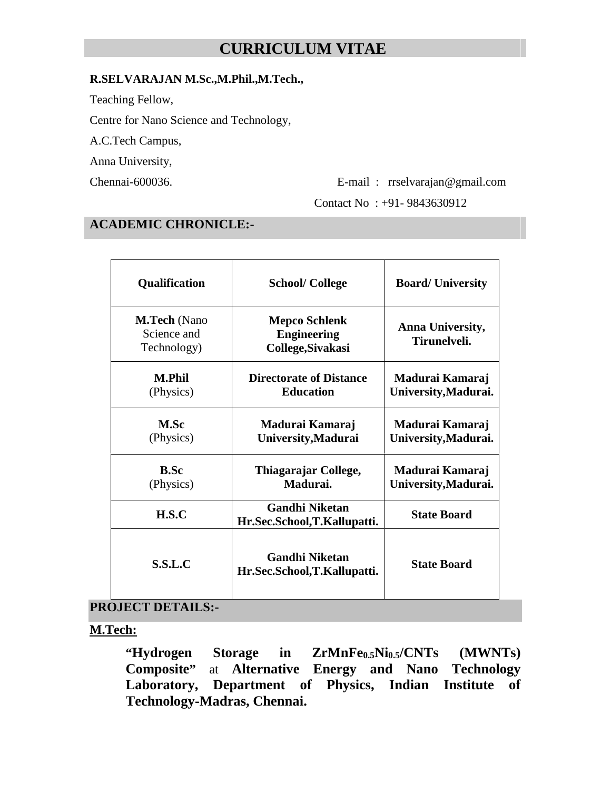# **CURRICULUM VITAE**

#### **R.SELVARAJAN M.Sc.,M.Phil.,M.Tech.,**

Teaching Fellow,

Centre for Nano Science and Technology,

A.C.Tech Campus,

Anna University,

Chennai-600036. E-mail : rrselvarajan@gmail.com

Contact No : +91- 9843630912

#### **ACADEMIC CHRONICLE:-**

| Qualification                                     | <b>School/College</b>                                           | <b>Board/University</b>                 |
|---------------------------------------------------|-----------------------------------------------------------------|-----------------------------------------|
| <b>M.Tech</b> (Nano<br>Science and<br>Technology) | <b>Mepco Schlenk</b><br><b>Engineering</b><br>College, Sivakasi | Anna University,<br>Tirunelveli.        |
| <b>M.Phil</b><br>(Physics)                        | <b>Directorate of Distance</b><br><b>Education</b>              | Madurai Kamaraj<br>University, Madurai. |
| <b>M.Sc</b><br>(Physics)                          | Madurai Kamaraj<br>University, Madurai                          | Madurai Kamaraj<br>University, Madurai. |
| <b>B.Sc</b><br>(Physics)                          | Thiagarajar College,<br>Madurai.                                | Madurai Kamaraj<br>University, Madurai. |
| H.S.C                                             | <b>Gandhi Niketan</b><br>Hr.Sec.School,T.Kallupatti.            | <b>State Board</b>                      |
| S.S.L.C                                           | <b>Gandhi Niketan</b><br>Hr.Sec.School,T.Kallupatti.            | <b>State Board</b>                      |

#### **PROJECT DETAILS:-**

**M.Tech:**

**"Hydrogen Storage in ZrMnFe0.5Ni0.5/CNTs (MWNTs) Composite"** at **Alternative Energy and Nano Technology Laboratory, Department of Physics, Indian Institute of Technology-Madras, Chennai.**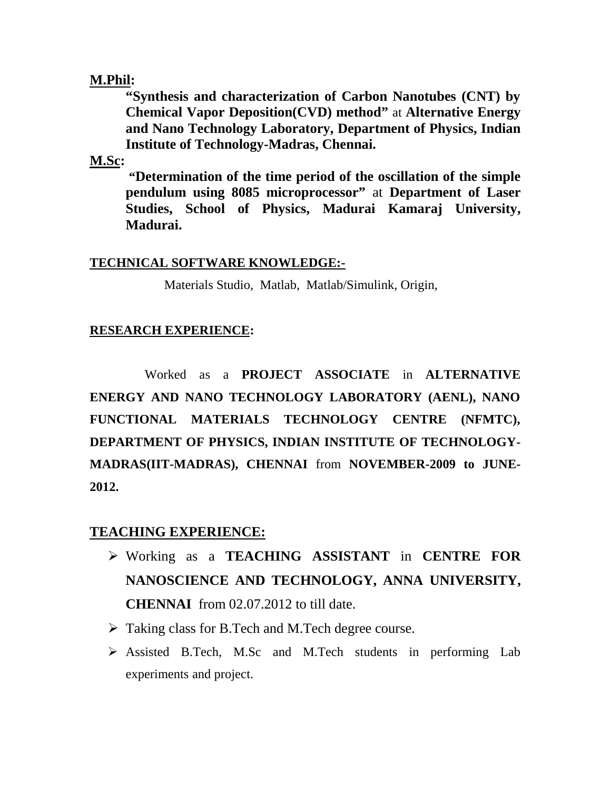### **M.Phil:**

**"Synthesis and characterization of Carbon Nanotubes (CNT) by Chemical Vapor Deposition(CVD) method"** at **Alternative Energy and Nano Technology Laboratory, Department of Physics, Indian Institute of Technology-Madras, Chennai.**

### **M.Sc:**

**"Determination of the time period of the oscillation of the simple pendulum using 8085 microprocessor"** at **Department of Laser Studies, School of Physics, Madurai Kamaraj University, Madurai.**

#### **TECHNICAL SOFTWARE KNOWLEDGE:-**

Materials Studio, Matlab, Matlab/Simulink, Origin,

### **RESEARCH EXPERIENCE:**

Worked as a **PROJECT ASSOCIATE** in **ALTERNATIVE ENERGY AND NANO TECHNOLOGY LABORATORY (AENL), NANO FUNCTIONAL MATERIALS TECHNOLOGY CENTRE (NFMTC), DEPARTMENT OF PHYSICS, INDIAN INSTITUTE OF TECHNOLOGY- MADRAS(IIT-MADRAS), CHENNAI** from **NOVEMBER-2009 to JUNE- 2012.**

### **TEACHING EXPERIENCE:**

- Working as a **TEACHING ASSISTANT** in **CENTRE FOR NANOSCIENCE AND TECHNOLOGY, ANNA UNIVERSITY, CHENNAI** from 02.07.2012 to till date.
- $\triangleright$  Taking class for B.Tech and M.Tech degree course.
- Assisted B.Tech, M.Sc and M.Tech students in performing Lab experiments and project.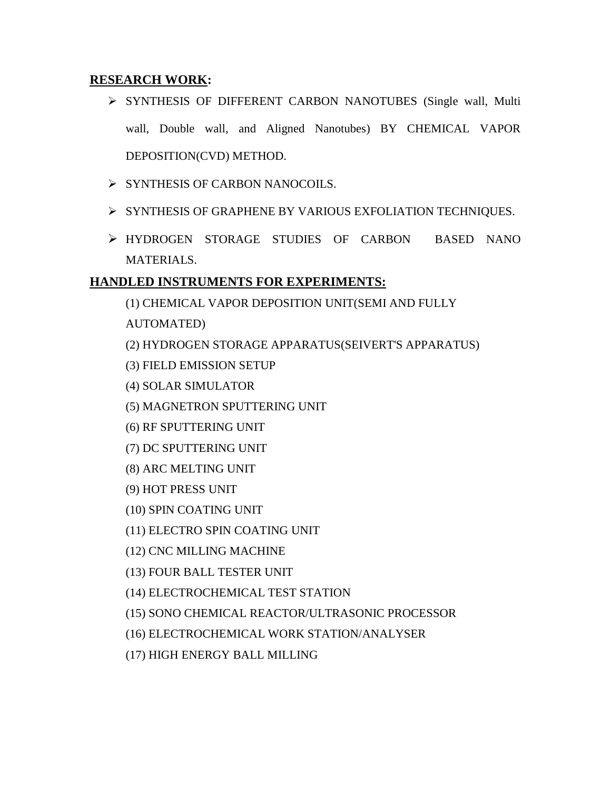#### **RESEARCH WORK:**

- > SYNTHESIS OF DIFFERENT CARBON NANOTUBES (Single wall, Multi wall, Double wall, and Aligned Nanotubes) BY CHEMICAL VAPOR DEPOSITION(CVD) METHOD.
- $\triangleright$  SYNTHESIS OF CARBON NANOCOILS.
- SYNTHESIS OF GRAPHENE BY VARIOUS EXFOLIATION TECHNIQUES.
- HYDROGEN STORAGE STUDIES OF CARBON BASED NANO MATERIALS.

### **HANDLED INSTRUMENTS FOR EXPERIMENTS:**

- (1) CHEMICAL VAPOR DEPOSITION UNIT(SEMI AND FULLY
- AUTOMATED)
- (2) HYDROGEN STORAGE APPARATUS(SEIVERT'S APPARATUS)
- (3) FIELD EMISSION SETUP
- (4) SOLAR SIMULATOR
- (5) MAGNETRON SPUTTERING UNIT
- (6) RF SPUTTERING UNIT
- (7) DC SPUTTERING UNIT
- (8) ARC MELTING UNIT
- (9) HOT PRESS UNIT
- (10) SPIN COATING UNIT
- (11) ELECTRO SPIN COATING UNIT
- (12) CNC MILLING MACHINE
- (13) FOUR BALL TESTER UNIT
- (14) ELECTROCHEMICAL TEST STATION
- (15) SONO CHEMICAL REACTOR/ULTRASONIC PROCESSOR
- (16) ELECTROCHEMICAL WORK STATION/ANALYSER
- (17) HIGH ENERGY BALL MILLING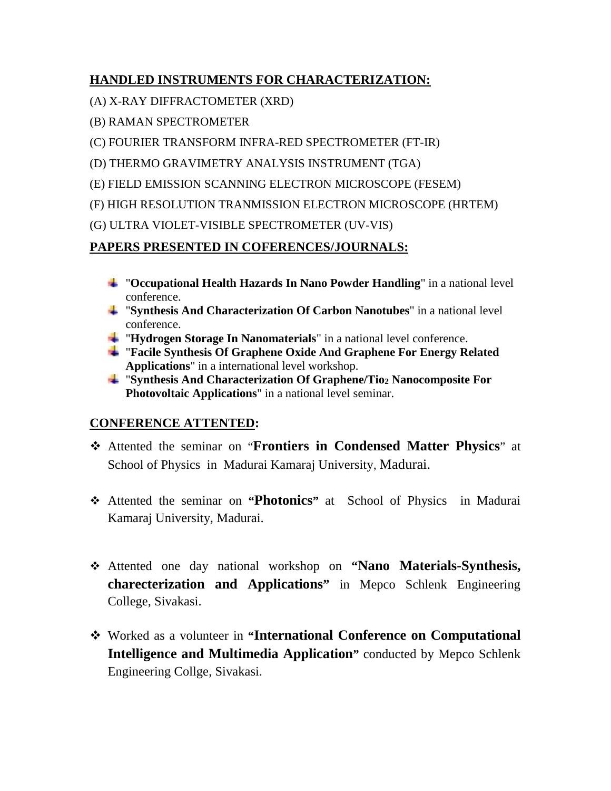# **HANDLED INSTRUMENTS FOR CHARACTERIZATION:**

- (A) X-RAY DIFFRACTOMETER (XRD)
- (B) RAMAN SPECTROMETER
- (C) FOURIER TRANSFORM INFRA-RED SPECTROMETER (FT-IR)
- (D) THERMO GRAVIMETRY ANALYSIS INSTRUMENT (TGA)
- (E) FIELD EMISSION SCANNING ELECTRON MICROSCOPE (FESEM)
- (F) HIGH RESOLUTION TRANMISSION ELECTRON MICROSCOPE (HRTEM)
- (G) ULTRA VIOLET-VISIBLE SPECTROMETER (UV-VIS)

# **PAPERS PRESENTED IN COFERENCES/JOURNALS:**

- "**Occupational Health Hazards In Nano Powder Handling**" in a national level conference.
- "**Synthesis And Characterization Of Carbon Nanotubes**" in a national level conference.
- "**Hydrogen Storage In Nanomaterials**" in a national level conference.
- "**Facile Synthesis Of Graphene Oxide And Graphene For Energy Related Applications**" in a international level workshop.
- "**Synthesis And Characterization Of Graphene/Tio<sup>2</sup> Nanocomposite For Photovoltaic Applications**" in a national level seminar.

# **CONFERENCE ATTENTED:**

- Attented the seminar on "**Frontiers in Condensed Matter Physics**" at School of Physics in Madurai Kamaraj University, Madurai.
- Attented the seminar on **"Photonics"** at School of Physics in Madurai Kamaraj University, Madurai.
- Attented one day national workshop on **"Nano Materials-Synthesis, charecterization and Applications"** in Mepco Schlenk Engineering College, Sivakasi.
- Worked as a volunteer in **"International Conference on Computational Intelligence and Multimedia Application"** conducted by Mepco Schlenk Engineering Collge, Sivakasi.